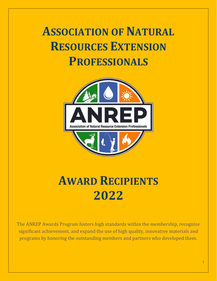# **ASSOCIATION OF NATURAL RESOURCES EXTENSION PROFESSIONALS**



# **AWARD RECIPIENTS 2022**

The ANREP Awards Program fosters high standards within the membership, recognize significant achievement, and expand the use of high quality, innovative materials and programs by honoring the outstanding members and partners who developed them.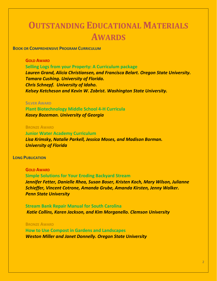# **OUTSTANDING EDUCATIONAL MATERIALS AWARDS**

**BOOK OR COMPREHENSIVE PROGRAM CURRICULUM** 

# **GOLD AWARD**

**Selling Logs from your Property: A Curriculum package**

*Lauren Grand, Alicia Christiansen, and Francisca Belart. Oregon State University. Tamara Cushing. University of Florida. Chris Schnepf. University of Idaho. Kelsey Ketcheson and Kevin W. Zobrist. Washington State University.*

### **SILVER AWARD**

**Plant Biotechnology Middle School 4-H Curricula** *Kasey Bozeman. University of Georgia*

# **BRONZE AWARD**

**Junior Water Academy Curriculum** *Lisa Krimsky, Natalie Parkell, Jessica Moses, and Madison Borman. University of Florida*

### **LONG PUBLICATION**

**GOLD AWARD Simple Solutions for Your Eroding Backyard Stream** *Jennifer Fetter, Danielle Rhea, Susan Boser, Kristen Koch, Mary Wilson, Julianne Schieffer, Vincent Cotrone, Amanda Grube, Amanda Kirsten, Jenny Walker. Penn State University*

**Stream Bank Repair Manual for South Carolina** *Katie Collins, Karen Jackson, and Kim Morganello. Clemson University*

## **BRONZE AWARD**

**How to Use Compost in Gardens and Landscapes** *Weston Miller and Janet Donnelly. Oregon State University*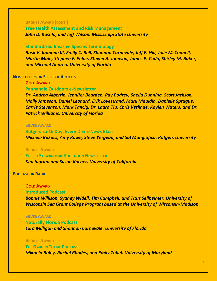# **BRONZE AWARD (CONT.)**

# **Tree Health Assessment and Risk Management** *John D. Kushla, and Jeff Wilson. Mississippi State University*

#### **Standardized Invasive Species Terminology**

*Basil V. Iannone III, Emily C. Bell, Shannon Carnevale, Jeff E. Hill, Julie McConnell, Martin Main, Stephen F. Enloe, Steven A. Johnson, James P. Cuda, Shirley M. Baker, and Michael Andreu. University of Florida*

## **NEWSLETTERS OR SERIES OF ARTICLES**

**GOLD AWARD Panhandle Outdoors e-Newsletter**

*Dr. Andrea Albertin, Jennifer Bearden, Ray Bodrey, Shelia Dunning, Scott Jackson, Molly Jameson, Daniel Leonard, Erik Lovestrand, Mark Mauldin, Danielle Sprague, Carrie Stevenson, Mark Tancig, Dr. Laura Tiu, Chris Verlinde, Kaylen Waters, and Dr. Patrick Williams. University of Florida*

# **SILVER AWARD**

**Rutgers Earth Day, Every Day E-News Blast** *Michele Bakacs, Amy Rowe, Steve Yergeau, and Sal Mangiafico. Rutgers University*

#### **BRONZE AWARD**

**FOREST STEWARDSHIP EDUCATION NEWSLETTER** *Kim Ingram and Susan Kocher. University of California* 

# **PODCAST OR RADIO**

# **GOLD AWARD**

# **Introduced Podcast**

*Bonnie Willison, Sydney Widell, Tim Campbell, and Titus Seilheimer. University of Wisconsin Sea Grant College Program based at the University of Wisconsin-Madison*

#### **SILVER AWARD**

**Naturally Florida Podcast** *Lara Milligan and Shannon Carnevale. University of Florida*

#### **BRONZE AWARD**

**THE GARDEN THYME PODCAST** *Mikaela Boley, Rachel Rhodes, and Emily Zobel. University of Maryland*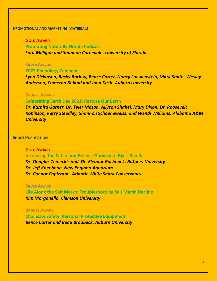# **PROMOTIONAL AND MARKETING MATERIALS**

# **GOLD AWARD**

**Promoting Naturally Florida Podcast** *Lara Milligan and Shannon Carnevale. University of Florida*

# **SILVER AWARD**

# **2022 Phenology Calendar**

*Lynn Dickinson, Becky Barlow, Bence Carter, Nancy Loewenstein, Mark Smith, Wesley Anderson, Cameron Boland and John Kush. Auburn University*

# **BRONZE AWARD**

#### **Celebrating Earth Day 2021: Restore Our Earth**

*Dr. Karnita Garner, Dr. Tyler Mason, Allyson Shabel, Mary Dixon, Dr. Roosevelt Robinson, Kerry Steedley, Shannon Schoeneweiss, and Wendi Williams. Alabama A&M University* 

# **SHORT PUBLICATION**

# **GOLD AWARD**

**Increasing the Catch-and-Release Survival of Black Sea Bass** *Dr. Douglas Zemeckis and Dr. Eleanor Bochenek. Rutgers University Dr. Jeff Kneebone. New England Aquarium Dr. Connor Capizzano. Atlantic White Shark Conservancy*

#### **SILVER AWARD**

**Life Along the Salt Marsh: Troubleshooting Salt Marsh Decline** *Kim Morganello. Clemson University* 

### **BRONZE AWARD**

**Chainsaw Safety: Personal Protective Equipment** *Bence Carter and Beau Brodbeck. Auburn University*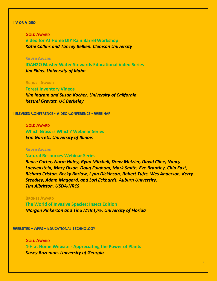# **TV OR VIDEO**

**GOLD AWARD Video for At Home DIY Rain Barrel Workshop** *Katie Collins and Tancey Belken. Clemson University*

# **SILVER AWARD**

**IDAH2O Master Water Stewards Educational Video Series** *Jim Ekins. University of Idaho* 

#### **BRONZE AWARD**

**Forest Inventory Videos** *Kim Ingram and Susan Kocher. University of California Kestrel Grevatt. UC Berkeley* 

**TELEVISED CONFERENCE - VIDEO CONFERENCE - WEBINAR** 

# **GOLD AWARD**

**Which Grass is Which? Webinar Series** *Erin Garrett. University of Illinois* 

# **SILVER AWARD**

**Natural Resources Webinar Series**

*Bence Carter, Norm Haley, Ryan Mitchell, Drew Metzler, David Cline, Nancy Loewenstein, Mary Dixon, Doug Fulghum, Mark Smith, Eve Brantley, Chip East, Richard Cristan, Becky Barlow, Lynn Dickinson, Robert Tufts, Wes Anderson, Kerry Steedley, Adam Maggard, and Lori Eckhardt. Auburn University. Tim Albritton. USDA-NRCS*

## **BRONZE AWARD**

**The World of Invasive Species: Insect Edition** *Morgan Pinkerton and Tina McIntyre. University of Florida*

**WEBSITES – APPS – EDUCATIONAL TECHNOLOGY**

**GOLD AWARD 4-H at Home Website - Appreciating the Power of Plants** *Kasey Bozeman. University of Georgia*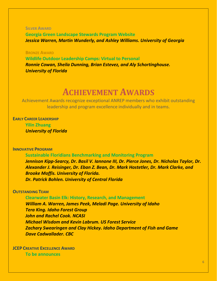**SILVER AWARD Georgia Green Landscape Stewards Program Website** *Jessica Warren, Martin Wunderly, and Ashley Williams. University of Georgia*

**BRONZE AWARD**

**Wildlife Outdoor Leadership Camps: Virtual to Personal** *Ronnie Cowan, Sheila Dunning, Brian Estevez, and Aly Schortinghouse. University of Florida*

# **ACHIEVEMENT AWARDS**

Achievement Awards recognize exceptional ANREP members who exhibit outstanding leadership and program excellence individually and in teams.

**EARLY CAREER LEADERSHIP**

**Yilin Zhuang** *University of Florida*

# **INNOVATIVE PROGRAM**

**Sustainable Floridians Benchmarking and Monitoring Program**

*Jennison Kipp-Searcy, Dr. Basil V. Iannone III, Dr. Pierce Jones, Dr. Nicholas Taylor, Dr. Alexander J. Reisinger, Dr. Eban Z. Bean, Dr. Mark Hostetler, Dr. Mark Clarke, and Brooke Moffis. University of Florida. Dr. Patrick Bohlen. University of Central Florida*

# **OUTSTANDING TEAM**

**Clearwater Basin Elk: History, Research, and Management** *William A. Warren, James Peek, Meladi Page. University of Idaho Tera King. Idaho Forest Group John and Rachel Cook. NCASI Michael Wisdom and Kevin Labrum. US Forest Service Zachary Swearingen and Clay Hickey. Idaho Department of Fish and Game Dave Cadwallader. CBC*

**JCEP CREATIVE EXCELLENCE AWARD To be announces**